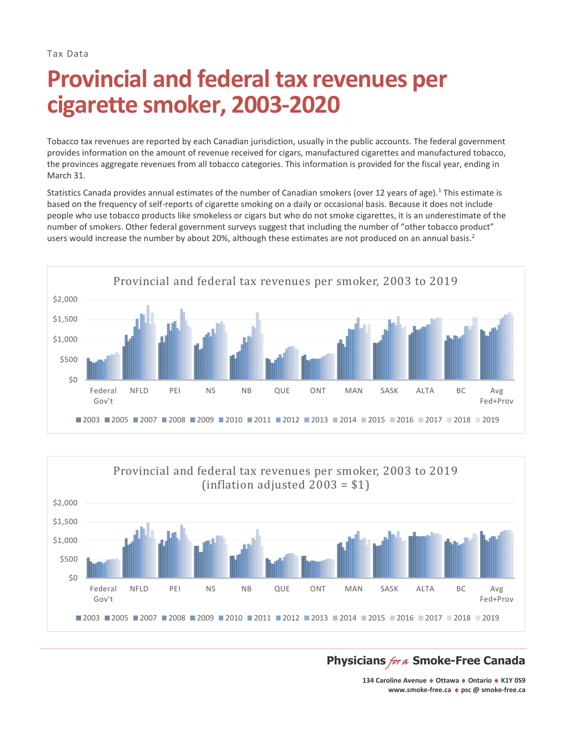Tax Data

# **Provincial and federal tax revenues per cigarette smoker, 2003-2020**

Tobacco tax revenues are reported by each Canadian jurisdiction, usually in the public accounts. The federal government provides information on the amount of revenue received for cigars, manufactured cigarettes and manufactured tobacco, the provinces aggregate revenues from all tobacco categories. This information is provided for the fiscal year, ending in March 31.

Statistics Canada provides annual estimates of the number of Canadian smokers (over 12 years of age).<sup>1</sup> This estimate is based on the frequency of self-reports of cigarette smoking on a daily or occasional basis. Because it does not include people who use tobacco products like smokeless or cigars but who do not smoke cigarettes, it is an underestimate of the number of smokers. Other federal government surveys suggest that including the number of "other tobacco product" users would increase the number by about 20%, although these estimates are not produced on an annual basis.<sup>2</sup>





# **Physicians** for a Smoke-Free Canada

**134 Caroline Avenue Ottawa Ontario K1Y 0S9 [www.smoke-free.ca](http://www.smoke-free.ca/) psc @ smoke-free.ca**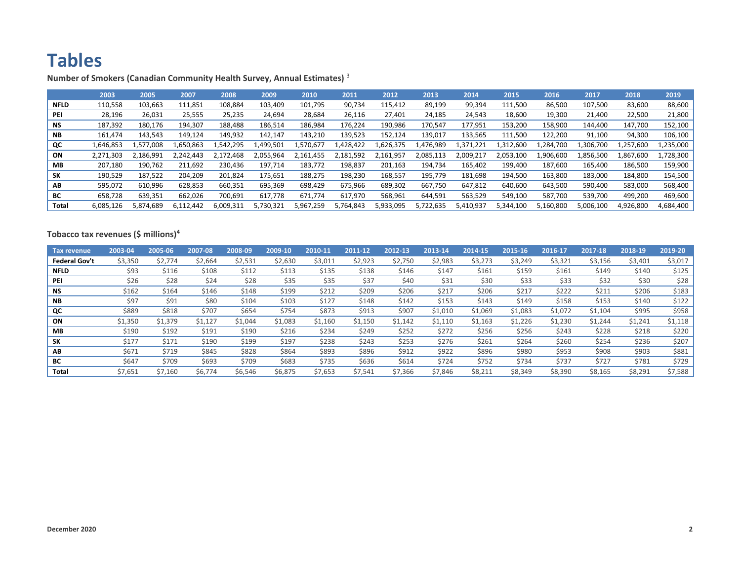# **Tables**

|             | 2003      | 2005      | 2007      | 2008      | 2009      | 2010      | 2011      | 2012      | 2013      | 2014           | 2015      | 2016      | 2017      | 2018      | 2019      |
|-------------|-----------|-----------|-----------|-----------|-----------|-----------|-----------|-----------|-----------|----------------|-----------|-----------|-----------|-----------|-----------|
| <b>NFLD</b> | 110,558   | 103,663   | 111,851   | 108,884   | 103,409   | 101,795   | 90,734    | 115,412   | 89,199    | 99,394         | 111,500   | 86,500    | 107,500   | 83,600    | 88,600    |
| PEI         | 28,196    | 26,031    | 25,555    | 25,235    | 24,694    | 28,684    | 26,116    | 27,401    | 24,185    | 24,543         | 18,600    | 19,300    | 21,400    | 22,500    | 21,800    |
| <b>NS</b>   | 187,392   | 180,176   | 194,307   | 188,488   | 186,514   | 186,984   | 176,224   | 190,986   | 170,547   | 177,951        | 153,200   | 158,900   | 144,400   | 147,700   | 152,100   |
| NB.         | 161,474   | 143,543   | 149,124   | 149.932   | 142.147   | 143,210   | 139.523   | 152.124   | 139,017   | 133,565        | 111,500   | 122,200   | 91,100    | 94,300    | 106,100   |
| QC          | 1,646,853 | 1,577,008 | 1,650,863 | .,542,295 | 1,499,501 | L.570.677 | 1,428,422 | .626.375  | 1,476,989 | l,371,<br>.221 | 1.312.600 | 1,284,700 | .306,700  | 1,257,600 | 1,235,000 |
| ON          | 2,271,303 | 186.991   | 2,242,443 | 2,172,468 | 2.055.964 | 2.161.455 | 2,181,592 | 2.161.957 | 2,085,113 | 2,009,217      | 2.053.100 | 1,906,600 | l,856,500 | L,867,600 | 1,728,300 |
| MВ          | 207,180   | 190.762   | 211,692   | 230.436   | 197.714   | 183,772   | 198,837   | 201,163   | 194,734   | 165,402        | 199,400   | 187,600   | 165,400   | 186,500   | 159,900   |
| <b>SK</b>   | 190,529   | 187,522   | 204,209   | 201,824   | 175,651   | 188,275   | 198,230   | 168,557   | 195,779   | 181,698        | 194,500   | 163,800   | 183,000   | 184,800   | 154,500   |
| AΒ          | 595,072   | 610,996   | 628,853   | 660,351   | 695,369   | 698,429   | 675.966   | 689,302   | 667,750   | 647,812        | 640,600   | 643,500   | 590.400   | 583,000   | 568,400   |
| BС          | 658,728   | 639,351   | 662.026   | 700.691   | 617.778   | 671.774   | 617.970   | 568,961   | 644,591   | 563,529        | 549,100   | 587.700   | 539.700   | 499.200   | 469,600   |
| Total       | 6,085,126 | 5,874,689 | 6,112,442 | 6,009,311 | 5,730,321 | 5,967,259 | 5,764,843 | 5,933,095 | 5,722,635 | 5,410,937      | 5,344,100 | 5,160,800 | 5,006,100 | 4,926,800 | 4,684,400 |

**Number of Smokers (Canadian Community Health Survey, Annual Estimates)** <sup>3</sup>

## **Tobacco tax revenues (\$ millions)<sup>4</sup>**

| Tax revenue          | 2003-04 | 2005-06 | 2007-08 | 2008-09 | 2009-10 | 2010-11 | 2011-12 | 2012-13 | 2013-14 | 2014-15 | 2015-16 | 2016-17 | 2017-18 | 2018-19 | 2019-20 |
|----------------------|---------|---------|---------|---------|---------|---------|---------|---------|---------|---------|---------|---------|---------|---------|---------|
| <b>Federal Gov't</b> | \$3,350 | \$2,774 | \$2,664 | \$2,531 | \$2,630 | \$3,011 | \$2,923 | \$2,750 | \$2,983 | \$3,273 | \$3,249 | \$3,321 | \$3,156 | \$3,401 | \$3,017 |
| <b>NFLD</b>          | \$93    | \$116   | \$108   | \$112   | \$113   | \$135   | \$138   | \$146   | \$147   | \$161   | \$159   | \$161   | \$149   | \$140   | \$125   |
| <b>PEI</b>           | \$26    | \$28    | \$24    | \$28    | \$35    | \$35    | \$37    | \$40    | \$31    | \$30    | \$33    | \$33    | \$32    | \$30    | \$28    |
| <b>NS</b>            | \$162   | \$164   | \$146   | \$148   | \$199   | \$212   | \$209   | \$206   | \$217   | \$206   | \$217   | \$222   | \$211   | \$206   | \$183   |
| <b>NB</b>            | \$97    | \$91    | \$80    | \$104   | \$103   | \$127   | \$148   | \$142   | \$153   | \$143   | \$149   | \$158   | \$153   | \$140   | \$122   |
| QC                   | \$889   | \$818   | \$707   | \$654   | \$754   | \$873   | \$913   | \$907   | \$1,010 | \$1,069 | \$1,083 | \$1,072 | \$1,104 | \$995   | \$958   |
| ON                   | \$1,350 | \$1,379 | \$1,127 | \$1,044 | \$1,083 | \$1,160 | \$1,150 | \$1,142 | \$1,110 | \$1,163 | \$1,226 | \$1,230 | \$1,244 | \$1,241 | \$1,118 |
| MВ                   | \$190   | \$192   | \$191   | \$190   | \$216   | \$234   | \$249   | \$252   | \$272   | \$256   | \$256   | \$243   | \$228   | \$218   | \$220   |
| SΚ                   | \$177   | \$171   | \$190   | \$199   | \$197   | \$238   | \$243   | \$253   | \$276   | \$261   | \$264   | \$260   | \$254   | \$236   | \$207   |
| AB                   | \$671   | \$719   | \$845   | \$828   | \$864   | \$893   | \$896   | \$912   | \$922   | \$896   | \$980   | \$953   | \$908   | \$903   | \$881   |
| BС                   | \$647   | \$709   | \$693   | \$709   | \$683   | \$735   | \$636   | \$614   | \$724   | \$752   | \$734   | \$737   | \$727   | \$781   | \$729   |
| Total                | \$7,651 | \$7,160 | \$6,774 | \$6,546 | \$6,875 | \$7,653 | \$7,541 | \$7,366 | \$7,846 | \$8,211 | \$8,349 | \$8,390 | \$8,165 | \$8,291 | \$7,588 |